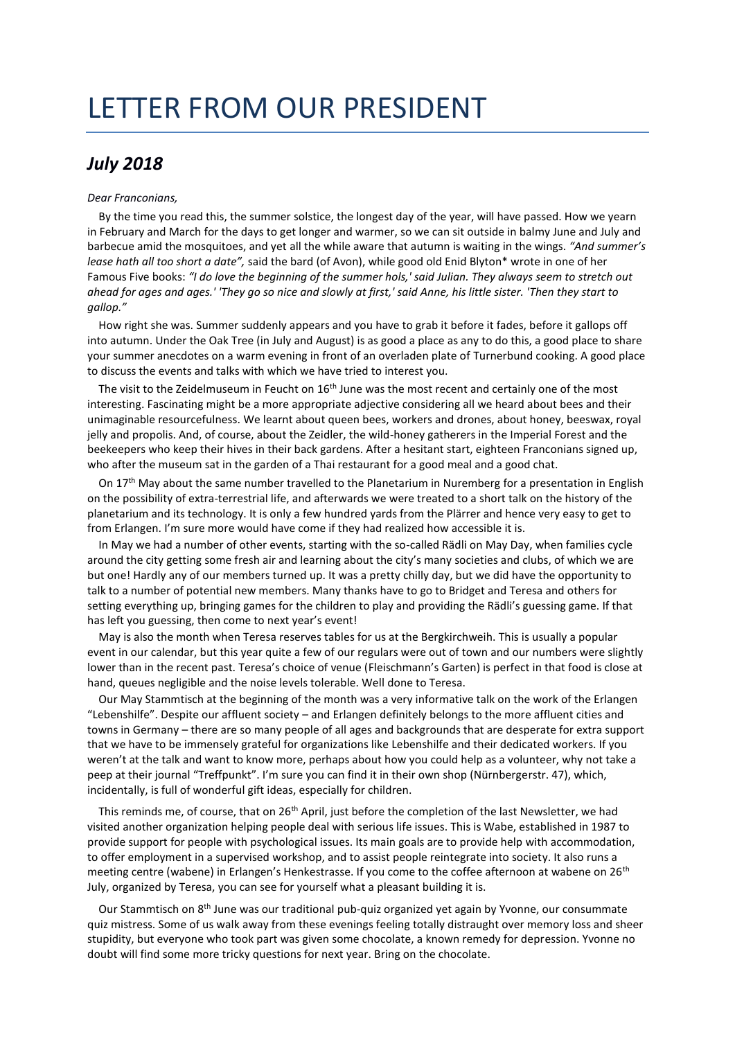## LETTER FROM OUR PRESIDENT

## *July 2018*

## *Dear Franconians,*

By the time you read this, the summer solstice, the longest day of the year, will have passed. How we yearn in February and March for the days to get longer and warmer, so we can sit outside in balmy June and July and barbecue amid the mosquitoes, and yet all the while aware that autumn is waiting in the wings. *"And summer's lease hath all too short a date",* said the bard (of Avon), while good old Enid Blyton\* wrote in one of her Famous Five books: *"I do love the beginning of the summer hols,' said Julian. They always seem to stretch out ahead for ages and ages.' 'They go so nice and slowly at first,' said Anne, his little sister. 'Then they start to gallop."*

How right she was. Summer suddenly appears and you have to grab it before it fades, before it gallops off into autumn. Under the Oak Tree (in July and August) is as good a place as any to do this, a good place to share your summer anecdotes on a warm evening in front of an overladen plate of Turnerbund cooking. A good place to discuss the events and talks with which we have tried to interest you.

The visit to the Zeidelmuseum in Feucht on 16<sup>th</sup> June was the most recent and certainly one of the most interesting. Fascinating might be a more appropriate adjective considering all we heard about bees and their unimaginable resourcefulness. We learnt about queen bees, workers and drones, about honey, beeswax, royal jelly and propolis. And, of course, about the Zeidler, the wild-honey gatherers in the Imperial Forest and the beekeepers who keep their hives in their back gardens. After a hesitant start, eighteen Franconians signed up, who after the museum sat in the garden of a Thai restaurant for a good meal and a good chat.

On 17<sup>th</sup> May about the same number travelled to the Planetarium in Nuremberg for a presentation in English on the possibility of extra-terrestrial life, and afterwards we were treated to a short talk on the history of the planetarium and its technology. It is only a few hundred yards from the Plärrer and hence very easy to get to from Erlangen. I'm sure more would have come if they had realized how accessible it is.

In May we had a number of other events, starting with the so-called Rädli on May Day, when families cycle around the city getting some fresh air and learning about the city's many societies and clubs, of which we are but one! Hardly any of our members turned up. It was a pretty chilly day, but we did have the opportunity to talk to a number of potential new members. Many thanks have to go to Bridget and Teresa and others for setting everything up, bringing games for the children to play and providing the Rädli's guessing game. If that has left you guessing, then come to next year's event!

May is also the month when Teresa reserves tables for us at the Bergkirchweih. This is usually a popular event in our calendar, but this year quite a few of our regulars were out of town and our numbers were slightly lower than in the recent past. Teresa's choice of venue (Fleischmann's Garten) is perfect in that food is close at hand, queues negligible and the noise levels tolerable. Well done to Teresa.

Our May Stammtisch at the beginning of the month was a very informative talk on the work of the Erlangen "Lebenshilfe". Despite our affluent society – and Erlangen definitely belongs to the more affluent cities and towns in Germany – there are so many people of all ages and backgrounds that are desperate for extra support that we have to be immensely grateful for organizations like Lebenshilfe and their dedicated workers. If you weren't at the talk and want to know more, perhaps about how you could help as a volunteer, why not take a peep at their journal "Treffpunkt". I'm sure you can find it in their own shop (Nürnbergerstr. 47), which, incidentally, is full of wonderful gift ideas, especially for children.

This reminds me, of course, that on 26<sup>th</sup> April, just before the completion of the last Newsletter, we had visited another organization helping people deal with serious life issues. This is Wabe, established in 1987 to provide support for people with psychological issues. Its main goals are to provide help with accommodation, to offer employment in a supervised workshop, and to assist people reintegrate into society. It also runs a meeting centre (wabene) in Erlangen's Henkestrasse. If you come to the coffee afternoon at wabene on 26<sup>th</sup> July, organized by Teresa, you can see for yourself what a pleasant building it is.

Our Stammtisch on 8<sup>th</sup> June was our traditional pub-quiz organized yet again by Yvonne, our consummate quiz mistress. Some of us walk away from these evenings feeling totally distraught over memory loss and sheer stupidity, but everyone who took part was given some chocolate, a known remedy for depression. Yvonne no doubt will find some more tricky questions for next year. Bring on the chocolate.